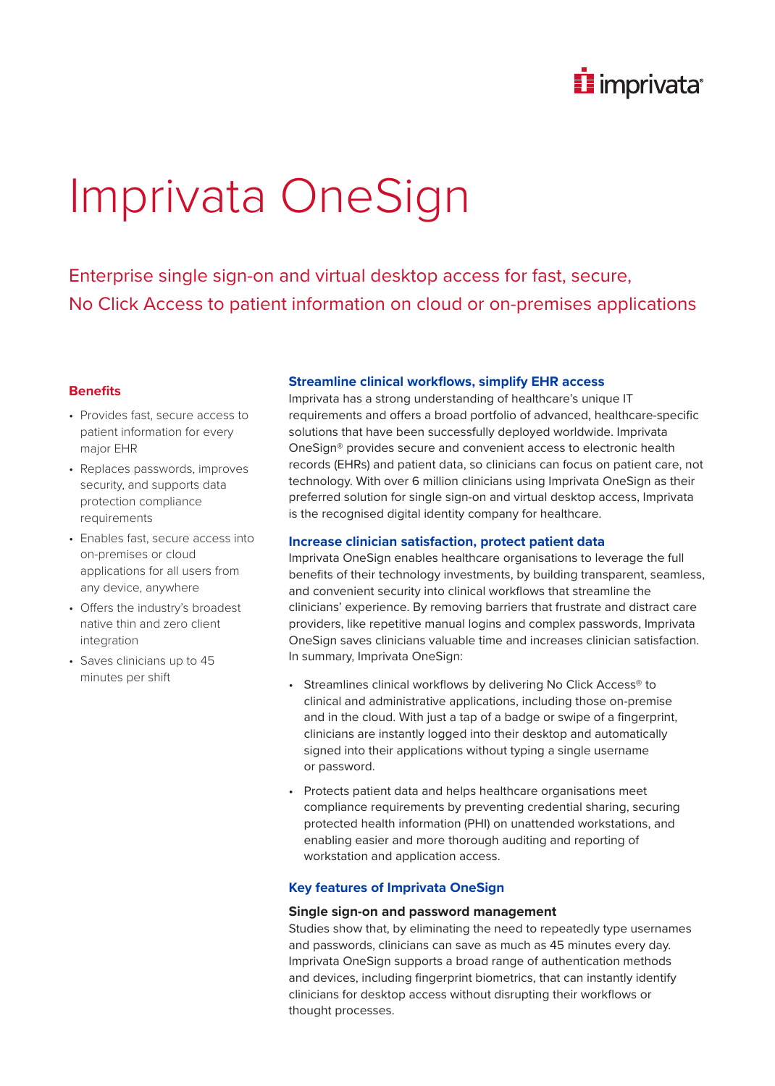

# Imprivata OneSign

Enterprise single sign-on and virtual desktop access for fast, secure, No Click Access to patient information on cloud or on-premises applications

## **Benefits**

- Provides fast, secure access to patient information for every major EHR
- Replaces passwords, improves security, and supports data protection compliance requirements
- Enables fast, secure access into on-premises or cloud applications for all users from any device, anywhere
- Offers the industry's broadest native thin and zero client integration
- Saves clinicians up to 45 minutes per shift

# **Streamline clinical workflows, simplify EHR access**

Imprivata has a strong understanding of healthcare's unique IT requirements and offers a broad portfolio of advanced, healthcare-specific solutions that have been successfully deployed worldwide. Imprivata OneSign® provides secure and convenient access to electronic health records (EHRs) and patient data, so clinicians can focus on patient care, not technology. With over 6 million clinicians using Imprivata OneSign as their preferred solution for single sign-on and virtual desktop access, Imprivata is the recognised digital identity company for healthcare.

# **Increase clinician satisfaction, protect patient data**

Imprivata OneSign enables healthcare organisations to leverage the full benefits of their technology investments, by building transparent, seamless, and convenient security into clinical workflows that streamline the clinicians' experience. By removing barriers that frustrate and distract care providers, like repetitive manual logins and complex passwords, Imprivata OneSign saves clinicians valuable time and increases clinician satisfaction. In summary, Imprivata OneSign:

- Streamlines clinical workflows by delivering No Click Access<sup>®</sup> to clinical and administrative applications, including those on-premise and in the cloud. With just a tap of a badge or swipe of a fingerprint, clinicians are instantly logged into their desktop and automatically signed into their applications without typing a single username or password.
- Protects patient data and helps healthcare organisations meet compliance requirements by preventing credential sharing, securing protected health information (PHI) on unattended workstations, and enabling easier and more thorough auditing and reporting of workstation and application access.

# **Key features of Imprivata OneSign**

## **Single sign-on and password management**

Studies show that, by eliminating the need to repeatedly type usernames and passwords, clinicians can save as much as 45 minutes every day. Imprivata OneSign supports a broad range of authentication methods and devices, including fingerprint biometrics, that can instantly identify clinicians for desktop access without disrupting their workflows or thought processes.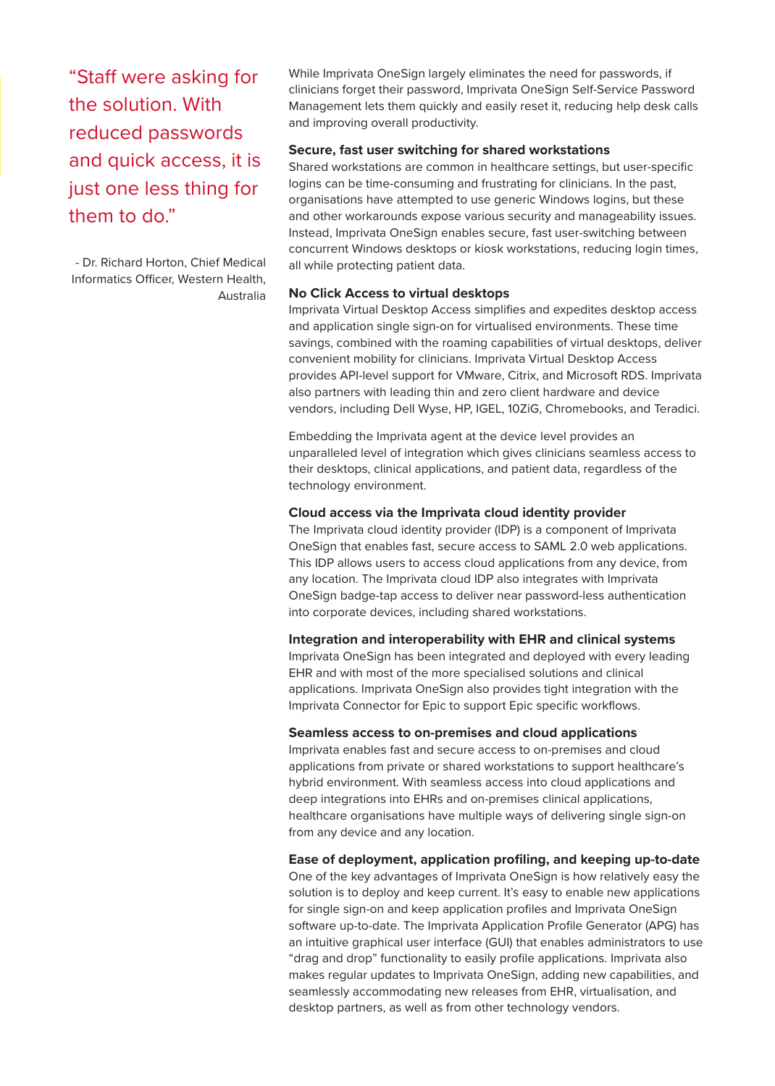"Staff were asking for the solution. With reduced passwords and quick access, it is just one less thing for them to do."

- Dr. Richard Horton, Chief Medical Informatics Officer, Western Health, Australia While Imprivata OneSign largely eliminates the need for passwords, if clinicians forget their password, Imprivata OneSign Self-Service Password Management lets them quickly and easily reset it, reducing help desk calls and improving overall productivity.

#### **Secure, fast user switching for shared workstations**

Shared workstations are common in healthcare settings, but user-specific logins can be time-consuming and frustrating for clinicians. In the past, organisations have attempted to use generic Windows logins, but these and other workarounds expose various security and manageability issues. Instead, Imprivata OneSign enables secure, fast user-switching between concurrent Windows desktops or kiosk workstations, reducing login times, all while protecting patient data.

## **No Click Access to virtual desktops**

Imprivata Virtual Desktop Access simplifies and expedites desktop access and application single sign-on for virtualised environments. These time savings, combined with the roaming capabilities of virtual desktops, deliver convenient mobility for clinicians. Imprivata Virtual Desktop Access provides API-level support for VMware, Citrix, and Microsoft RDS. Imprivata also partners with leading thin and zero client hardware and device vendors, including Dell Wyse, HP, IGEL, 10ZiG, Chromebooks, and Teradici.

Embedding the Imprivata agent at the device level provides an unparalleled level of integration which gives clinicians seamless access to their desktops, clinical applications, and patient data, regardless of the technology environment.

#### **Cloud access via the Imprivata cloud identity provider**

The Imprivata cloud identity provider (IDP) is a component of Imprivata OneSign that enables fast, secure access to SAML 2.0 web applications. This IDP allows users to access cloud applications from any device, from any location. The Imprivata cloud IDP also integrates with Imprivata OneSign badge-tap access to deliver near password-less authentication into corporate devices, including shared workstations.

#### **Integration and interoperability with EHR and clinical systems**

Imprivata OneSign has been integrated and deployed with every leading EHR and with most of the more specialised solutions and clinical applications. Imprivata OneSign also provides tight integration with the Imprivata Connector for Epic to support Epic specific workflows.

#### **Seamless access to on-premises and cloud applications**

Imprivata enables fast and secure access to on-premises and cloud applications from private or shared workstations to support healthcare's hybrid environment. With seamless access into cloud applications and deep integrations into EHRs and on-premises clinical applications, healthcare organisations have multiple ways of delivering single sign-on from any device and any location.

#### **Ease of deployment, application profiling, and keeping up-to-date**

One of the key advantages of Imprivata OneSign is how relatively easy the solution is to deploy and keep current. It's easy to enable new applications for single sign-on and keep application profiles and Imprivata OneSign software up-to-date. The Imprivata Application Profile Generator (APG) has an intuitive graphical user interface (GUI) that enables administrators to use "drag and drop" functionality to easily profile applications. Imprivata also makes regular updates to Imprivata OneSign, adding new capabilities, and seamlessly accommodating new releases from EHR, virtualisation, and desktop partners, as well as from other technology vendors.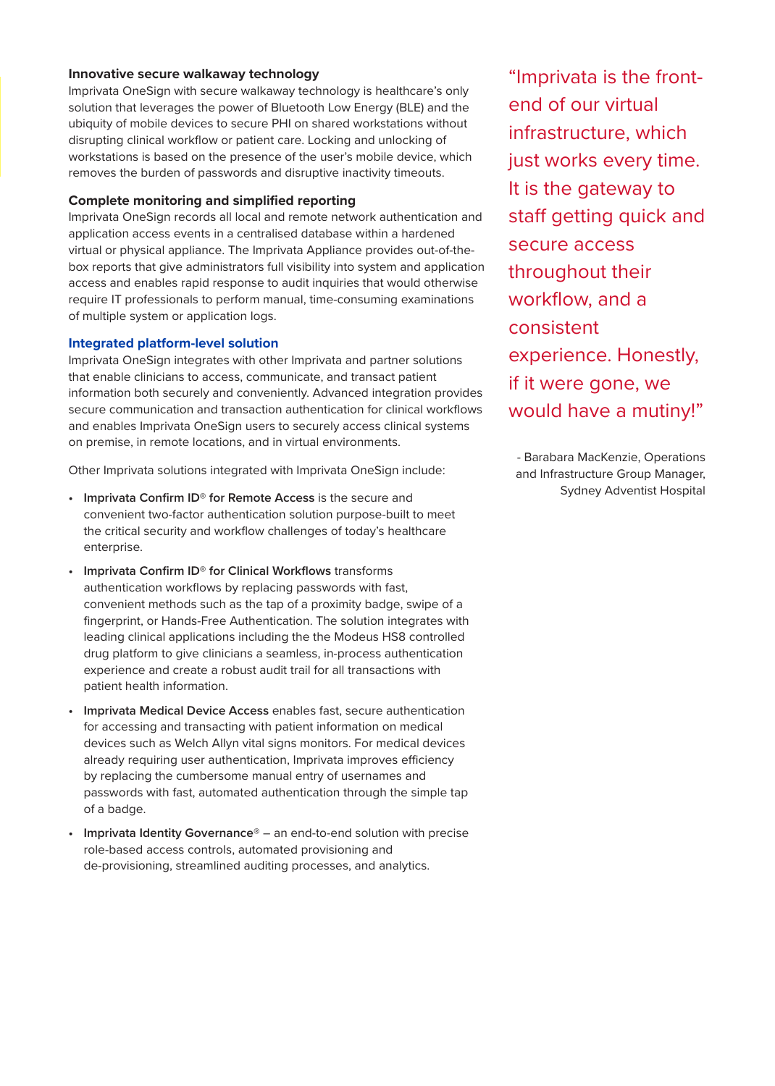# **Innovative secure walkaway technology**

Imprivata OneSign with secure walkaway technology is healthcare's only solution that leverages the power of Bluetooth Low Energy (BLE) and the ubiquity of mobile devices to secure PHI on shared workstations without disrupting clinical workflow or patient care. Locking and unlocking of workstations is based on the presence of the user's mobile device, which removes the burden of passwords and disruptive inactivity timeouts.

# **Complete monitoring and simplified reporting**

Imprivata OneSign records all local and remote network authentication and application access events in a centralised database within a hardened virtual or physical appliance. The Imprivata Appliance provides out-of-thebox reports that give administrators full visibility into system and application access and enables rapid response to audit inquiries that would otherwise require IT professionals to perform manual, time-consuming examinations of multiple system or application logs.

# **Integrated platform-level solution**

Imprivata OneSign integrates with other Imprivata and partner solutions that enable clinicians to access, communicate, and transact patient information both securely and conveniently. Advanced integration provides secure communication and transaction authentication for clinical workflows and enables Imprivata OneSign users to securely access clinical systems on premise, in remote locations, and in virtual environments.

Other Imprivata solutions integrated with Imprivata OneSign include:

- **• Imprivata Confirm ID® for Remote Access** is the secure and convenient two-factor authentication solution purpose-built to meet the critical security and workflow challenges of today's healthcare enterprise.
- **• Imprivata Confirm ID® for Clinical Workflows** transforms authentication workflows by replacing passwords with fast, convenient methods such as the tap of a proximity badge, swipe of a fingerprint, or Hands-Free Authentication. The solution integrates with leading clinical applications including the the Modeus HS8 controlled drug platform to give clinicians a seamless, in-process authentication experience and create a robust audit trail for all transactions with patient health information.
- **• Imprivata Medical Device Access** enables fast, secure authentication for accessing and transacting with patient information on medical devices such as Welch Allyn vital signs monitors. For medical devices already requiring user authentication, Imprivata improves efficiency by replacing the cumbersome manual entry of usernames and passwords with fast, automated authentication through the simple tap of a badge.
- **• Imprivata Identity Governance®** an end-to-end solution with precise role-based access controls, automated provisioning and de-provisioning, streamlined auditing processes, and analytics.

"Imprivata is the frontend of our virtual infrastructure, which just works every time. It is the gateway to staff getting quick and secure access throughout their workflow, and a consistent experience. Honestly, if it were gone, we would have a mutiny!"

- Barabara MacKenzie, Operations and Infrastructure Group Manager, Sydney Adventist Hospital